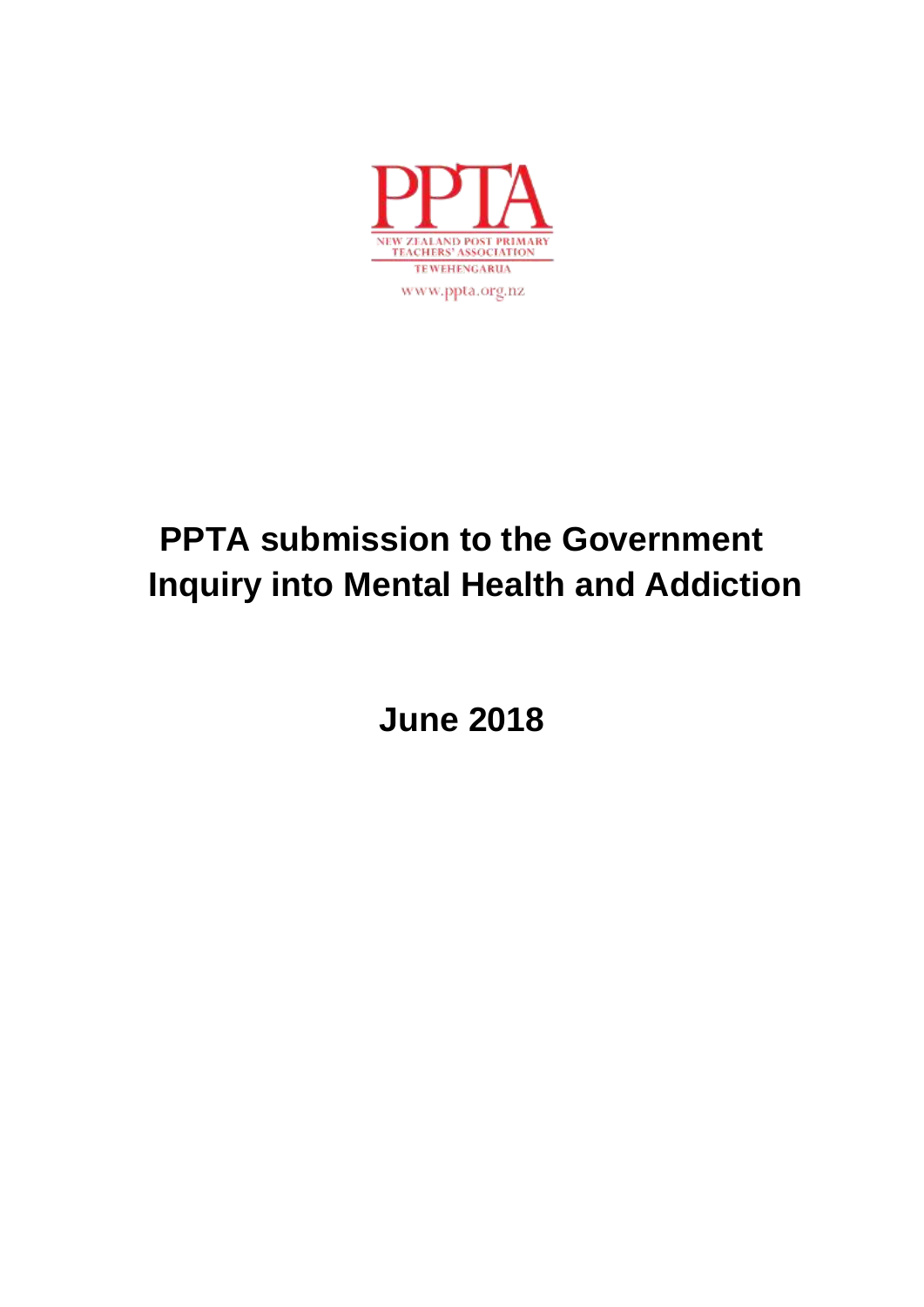

# **PPTA submission to the Government Inquiry into Mental Health and Addiction**

**June 2018**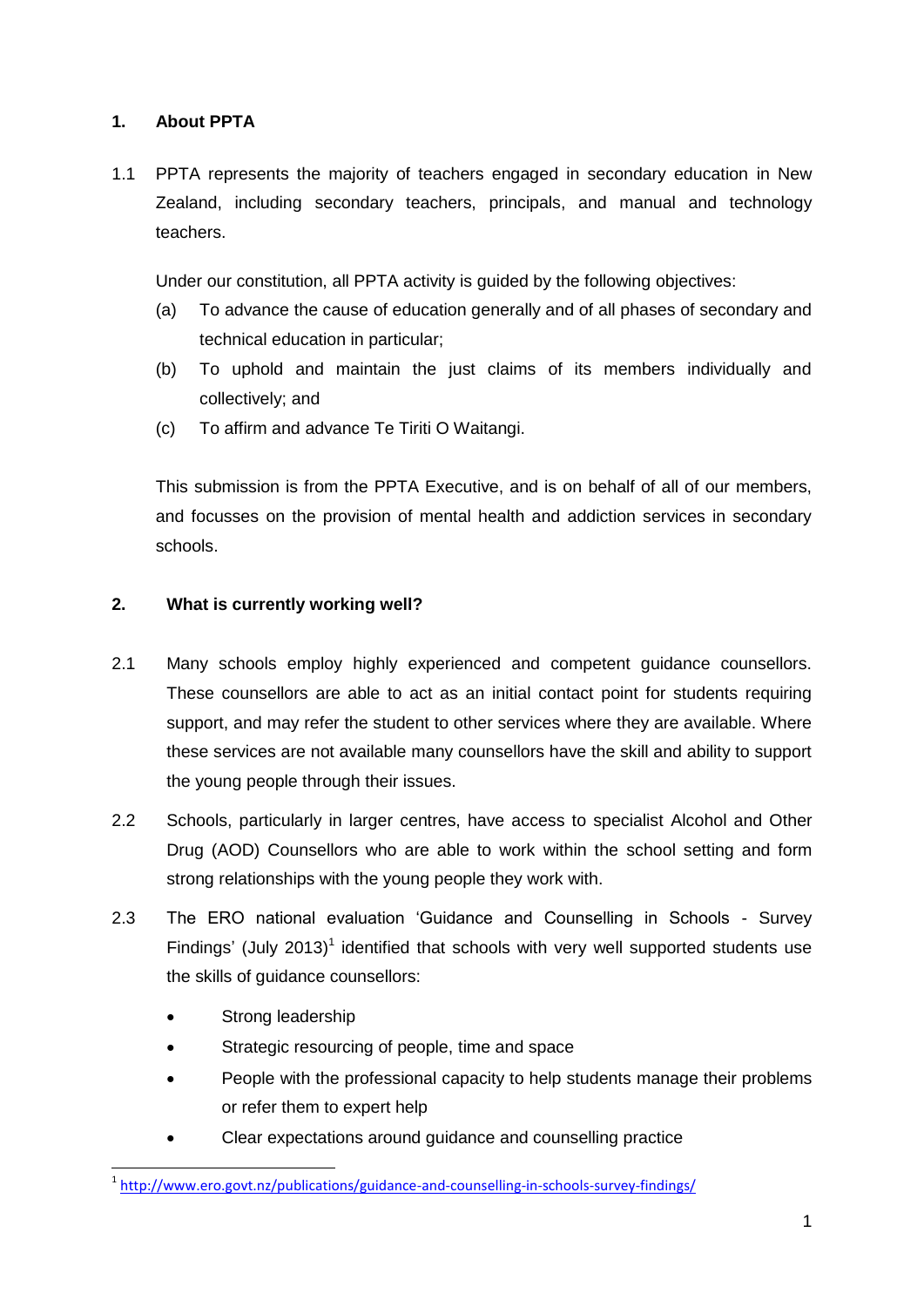## **1. About PPTA**

1.1 PPTA represents the majority of teachers engaged in secondary education in New Zealand, including secondary teachers, principals, and manual and technology teachers.

Under our constitution, all PPTA activity is guided by the following objectives:

- (a) To advance the cause of education generally and of all phases of secondary and technical education in particular;
- (b) To uphold and maintain the just claims of its members individually and collectively; and
- (c) To affirm and advance Te Tiriti O Waitangi.

This submission is from the PPTA Executive, and is on behalf of all of our members, and focusses on the provision of mental health and addiction services in secondary schools.

### **2. What is currently working well?**

- 2.1 Many schools employ highly experienced and competent guidance counsellors. These counsellors are able to act as an initial contact point for students requiring support, and may refer the student to other services where they are available. Where these services are not available many counsellors have the skill and ability to support the young people through their issues.
- 2.2 Schools, particularly in larger centres, have access to specialist Alcohol and Other Drug (AOD) Counsellors who are able to work within the school setting and form strong relationships with the young people they work with.
- 2.3 The ERO national evaluation 'Guidance and Counselling in Schools Survey Findings' (July 2013)<sup>1</sup> identified that schools with very well supported students use the skills of quidance counsellors:
	- Strong leadership
	- Strategic resourcing of people, time and space
	- People with the professional capacity to help students manage their problems or refer them to expert help
	- Clear expectations around guidance and counselling practice

<sup>1</sup> <sup>1</sup> <http://www.ero.govt.nz/publications/guidance-and-counselling-in-schools-survey-findings/>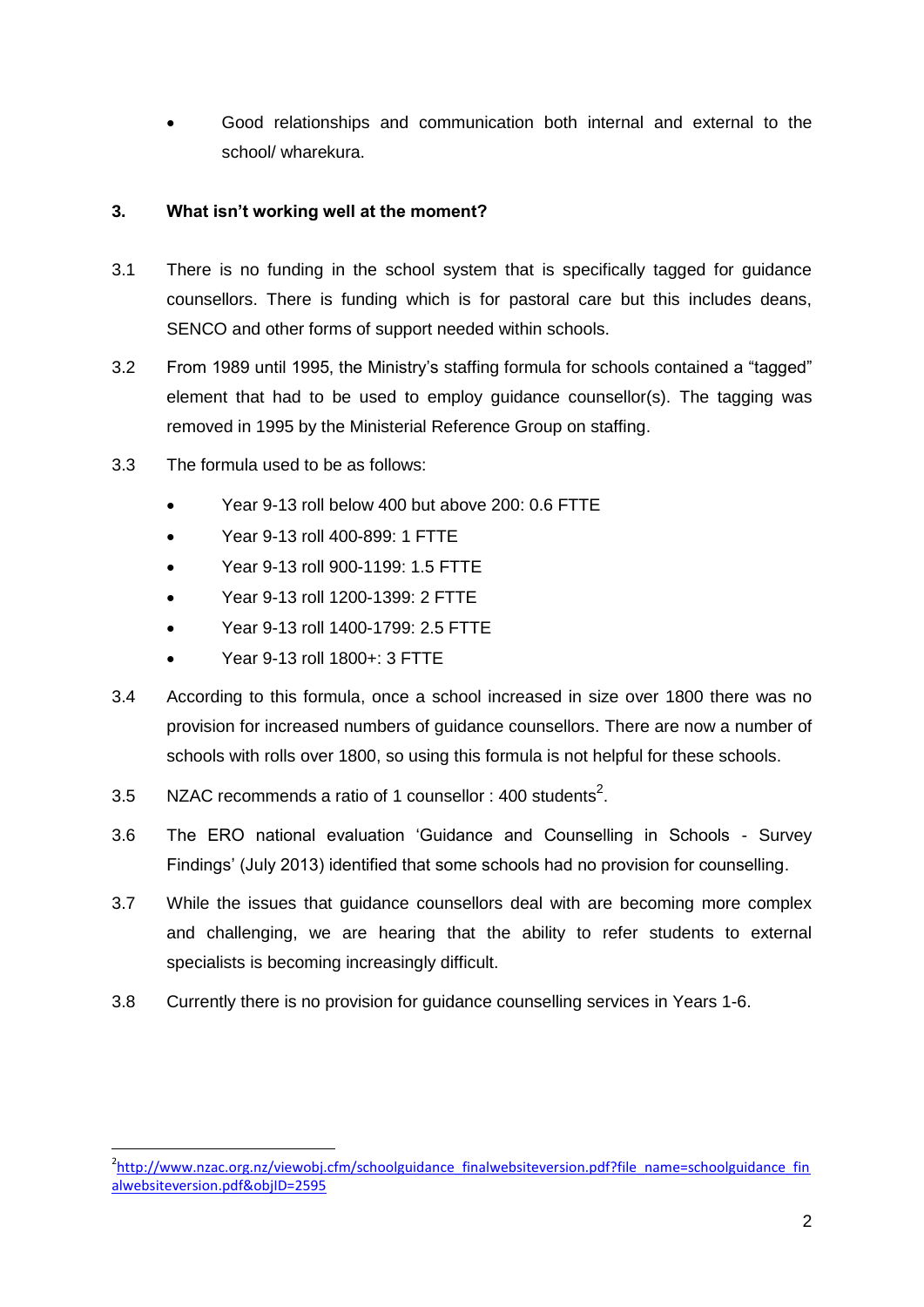Good relationships and communication both internal and external to the school/ wharekura.

### **3. What isn't working well at the moment?**

- 3.1 There is no funding in the school system that is specifically tagged for guidance counsellors. There is funding which is for pastoral care but this includes deans, SENCO and other forms of support needed within schools.
- 3.2 From 1989 until 1995, the Ministry's staffing formula for schools contained a "tagged" element that had to be used to employ guidance counsellor(s). The tagging was removed in 1995 by the Ministerial Reference Group on staffing.
- 3.3 The formula used to be as follows:
	- Year 9-13 roll below 400 but above 200: 0.6 FTTE
	- Year 9-13 roll 400-899: 1 FTTE
	- Year 9-13 roll 900-1199: 1.5 FTTE
	- Year 9-13 roll 1200-1399: 2 FTTE
	- Year 9-13 roll 1400-1799: 2.5 FTTE
	- Year 9-13 roll 1800+: 3 FTTE

1

- 3.4 According to this formula, once a school increased in size over 1800 there was no provision for increased numbers of guidance counsellors. There are now a number of schools with rolls over 1800, so using this formula is not helpful for these schools.
- 3.5 NZAC recommends a ratio of 1 counsellor : 400 students<sup>2</sup>.
- 3.6 The ERO national evaluation 'Guidance and Counselling in Schools Survey Findings' (July 2013) identified that some schools had no provision for counselling.
- 3.7 While the issues that guidance counsellors deal with are becoming more complex and challenging, we are hearing that the ability to refer students to external specialists is becoming increasingly difficult.
- 3.8 Currently there is no provision for guidance counselling services in Years 1-6.

<sup>&</sup>lt;sup>2</sup>[http://www.nzac.org.nz/viewobj.cfm/schoolguidance\\_finalwebsiteversion.pdf?file\\_name=schoolguidance\\_fin](http://www.nzac.org.nz/viewobj.cfm/schoolguidance_finalwebsiteversion.pdf?file_name=schoolguidance_finalwebsiteversion.pdf&objID=2595) [alwebsiteversion.pdf&objID=2595](http://www.nzac.org.nz/viewobj.cfm/schoolguidance_finalwebsiteversion.pdf?file_name=schoolguidance_finalwebsiteversion.pdf&objID=2595)